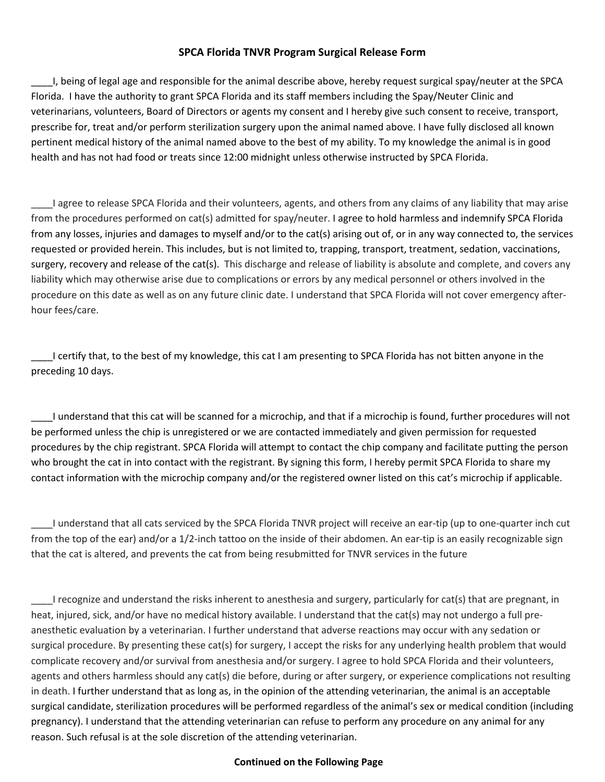## **SPCA Florida TNVR Program Surgical Release Form**

\_\_\_\_I, being of legal age and responsible for the animal describe above, hereby request surgical spay/neuter at the SPCA Florida. I have the authority to grant SPCA Florida and its staff members including the Spay/Neuter Clinic and veterinarians, volunteers, Board of Directors or agents my consent and I hereby give such consent to receive, transport, prescribe for, treat and/or perform sterilization surgery upon the animal named above. I have fully disclosed all known pertinent medical history of the animal named above to the best of my ability. To my knowledge the animal is in good health and has not had food or treats since 12:00 midnight unless otherwise instructed by SPCA Florida.

\_\_\_\_I agree to release SPCA Florida and their volunteers, agents, and others from any claims of any liability that may arise from the procedures performed on cat(s) admitted for spay/neuter. I agree to hold harmless and indemnify SPCA Florida from any losses, injuries and damages to myself and/or to the cat(s) arising out of, or in any way connected to, the services requested or provided herein. This includes, but is not limited to, trapping, transport, treatment, sedation, vaccinations, surgery, recovery and release of the cat(s). This discharge and release of liability is absolute and complete, and covers any liability which may otherwise arise due to complications or errors by any medical personnel or others involved in the procedure on this date as well as on any future clinic date. I understand that SPCA Florida will not cover emergency afterhour fees/care.

\_\_\_\_I certify that, to the best of my knowledge, this cat I am presenting to SPCA Florida has not bitten anyone in the preceding 10 days.

\_\_\_\_I understand that this cat will be scanned for a microchip, and that if a microchip is found, further procedures will not be performed unless the chip is unregistered or we are contacted immediately and given permission for requested procedures by the chip registrant. SPCA Florida will attempt to contact the chip company and facilitate putting the person who brought the cat in into contact with the registrant. By signing this form, I hereby permit SPCA Florida to share my contact information with the microchip company and/or the registered owner listed on this cat's microchip if applicable.

\_\_\_\_I understand that all cats serviced by the SPCA Florida TNVR project will receive an ear-tip (up to one-quarter inch cut from the top of the ear) and/or a 1/2-inch tattoo on the inside of their abdomen. An ear-tip is an easily recognizable sign that the cat is altered, and prevents the cat from being resubmitted for TNVR services in the future

\_\_\_\_I recognize and understand the risks inherent to anesthesia and surgery, particularly for cat(s) that are pregnant, in heat, injured, sick, and/or have no medical history available. I understand that the cat(s) may not undergo a full preanesthetic evaluation by a veterinarian. I further understand that adverse reactions may occur with any sedation or surgical procedure. By presenting these cat(s) for surgery, I accept the risks for any underlying health problem that would complicate recovery and/or survival from anesthesia and/or surgery. I agree to hold SPCA Florida and their volunteers, agents and others harmless should any cat(s) die before, during or after surgery, or experience complications not resulting in death. I further understand that as long as, in the opinion of the attending veterinarian, the animal is an acceptable surgical candidate, sterilization procedures will be performed regardless of the animal's sex or medical condition (including pregnancy). I understand that the attending veterinarian can refuse to perform any procedure on any animal for any reason. Such refusal is at the sole discretion of the attending veterinarian.

## **Continued on the Following Page**